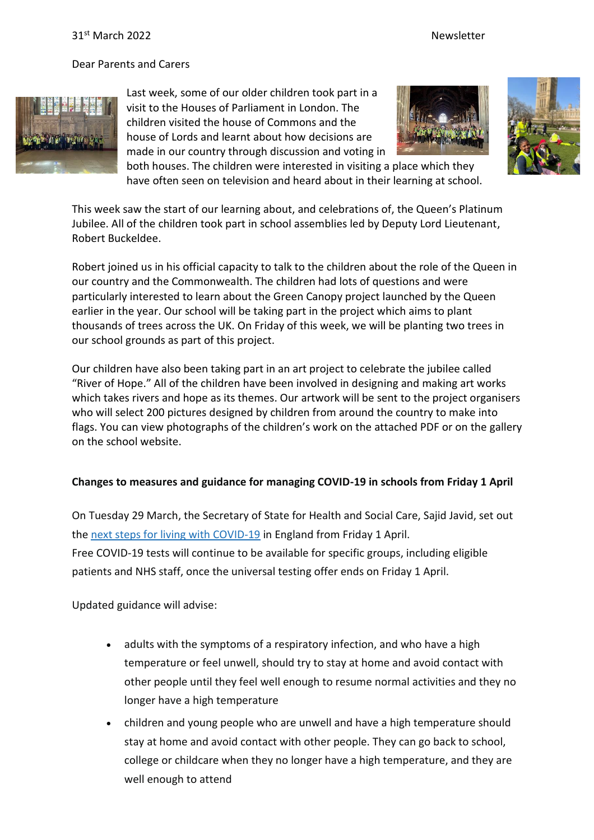Dear Parents and Carers



Last week, some of our older children took part in a visit to the Houses of Parliament in London. The children visited the house of Commons and the house of Lords and learnt about how decisions are made in our country through discussion and voting in





both houses. The children were interested in visiting a place which they have often seen on television and heard about in their learning at school.

This week saw the start of our learning about, and celebrations of, the Queen's Platinum Jubilee. All of the children took part in school assemblies led by Deputy Lord Lieutenant, Robert Buckeldee.

Robert joined us in his official capacity to talk to the children about the role of the Queen in our country and the Commonwealth. The children had lots of questions and were particularly interested to learn about the Green Canopy project launched by the Queen earlier in the year. Our school will be taking part in the project which aims to plant thousands of trees across the UK. On Friday of this week, we will be planting two trees in our school grounds as part of this project.

Our children have also been taking part in an art project to celebrate the jubilee called "River of Hope." All of the children have been involved in designing and making art works which takes rivers and hope as its themes. Our artwork will be sent to the project organisers who will select 200 pictures designed by children from around the country to make into flags. You can view photographs of the children's work on the attached PDF or on the gallery on the school website.

## **Changes to measures and guidance for managing COVID-19 in schools from Friday 1 April**

On Tuesday 29 March, the Secretary of State for Health and Social Care, Sajid Javid, set out the next steps for living with [COVID-19](https://www.gov.uk/government/news/government-sets-out-next-steps-for-living-with-covid?utm_source=31%20March%202022%20C19&utm_medium=Daily%20Email%20C19&utm_campaign=DfE%20C19) in England from Friday 1 April. Free COVID-19 tests will continue to be available for specific groups, including eligible patients and NHS staff, once the universal testing offer ends on Friday 1 April.

Updated guidance will advise:

- adults with the symptoms of a respiratory infection, and who have a high temperature or feel unwell, should try to stay at home and avoid contact with other people until they feel well enough to resume normal activities and they no longer have a high temperature
- children and young people who are unwell and have a high temperature should stay at home and avoid contact with other people. They can go back to school, college or childcare when they no longer have a high temperature, and they are well enough to attend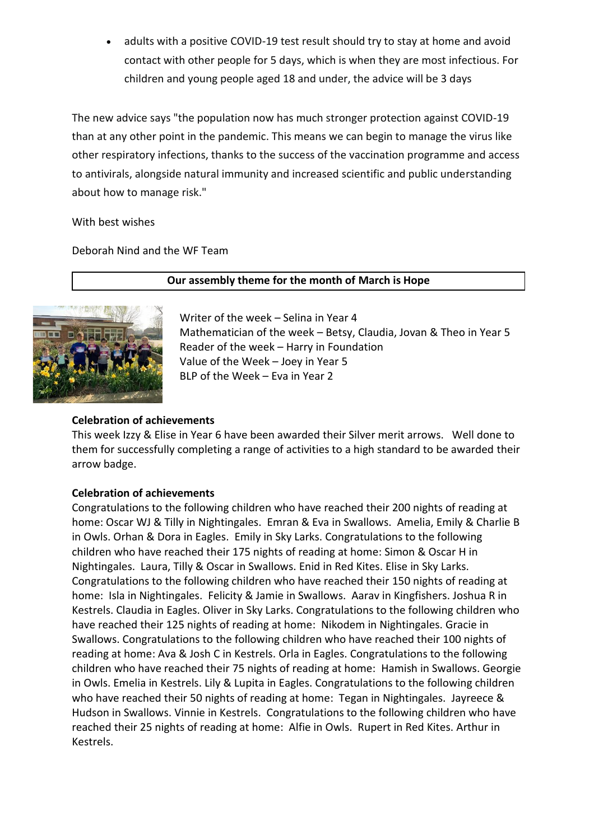adults with a positive COVID-19 test result should try to stay at home and avoid contact with other people for 5 days, which is when they are most infectious. For children and young people aged 18 and under, the advice will be 3 days

The new advice says "the population now has much stronger protection against COVID-19 than at any other point in the pandemic. This means we can begin to manage the virus like other respiratory infections, thanks to the success of the vaccination programme and access to antivirals, alongside natural immunity and increased scientific and public understanding about how to manage risk."

With best wishes

Deborah Nind and the WF Team



**Our assembly theme for the month of March is Hope**

Writer of the week – Selina in Year 4 Mathematician of the week – Betsy, Claudia, Jovan & Theo in Year 5 Reader of the week – Harry in Foundation Value of the Week – Joey in Year 5 BLP of the Week – Eva in Year 2

## **Celebration of achievements**

This week Izzy & Elise in Year 6 have been awarded their Silver merit arrows. Well done to them for successfully completing a range of activities to a high standard to be awarded their arrow badge.

## **Celebration of achievements**

Congratulations to the following children who have reached their 200 nights of reading at home: Oscar WJ & Tilly in Nightingales. Emran & Eva in Swallows. Amelia, Emily & Charlie B in Owls. Orhan & Dora in Eagles. Emily in Sky Larks. Congratulations to the following children who have reached their 175 nights of reading at home: Simon & Oscar H in Nightingales. Laura, Tilly & Oscar in Swallows. Enid in Red Kites. Elise in Sky Larks. Congratulations to the following children who have reached their 150 nights of reading at home: Isla in Nightingales. Felicity & Jamie in Swallows. Aarav in Kingfishers. Joshua R in Kestrels. Claudia in Eagles. Oliver in Sky Larks. Congratulations to the following children who have reached their 125 nights of reading at home: Nikodem in Nightingales. Gracie in Swallows. Congratulations to the following children who have reached their 100 nights of reading at home: Ava & Josh C in Kestrels. Orla in Eagles. Congratulations to the following children who have reached their 75 nights of reading at home: Hamish in Swallows. Georgie in Owls. Emelia in Kestrels. Lily & Lupita in Eagles. Congratulations to the following children who have reached their 50 nights of reading at home: Tegan in Nightingales. Jayreece & Hudson in Swallows. Vinnie in Kestrels. Congratulations to the following children who have reached their 25 nights of reading at home: Alfie in Owls. Rupert in Red Kites. Arthur in Kestrels.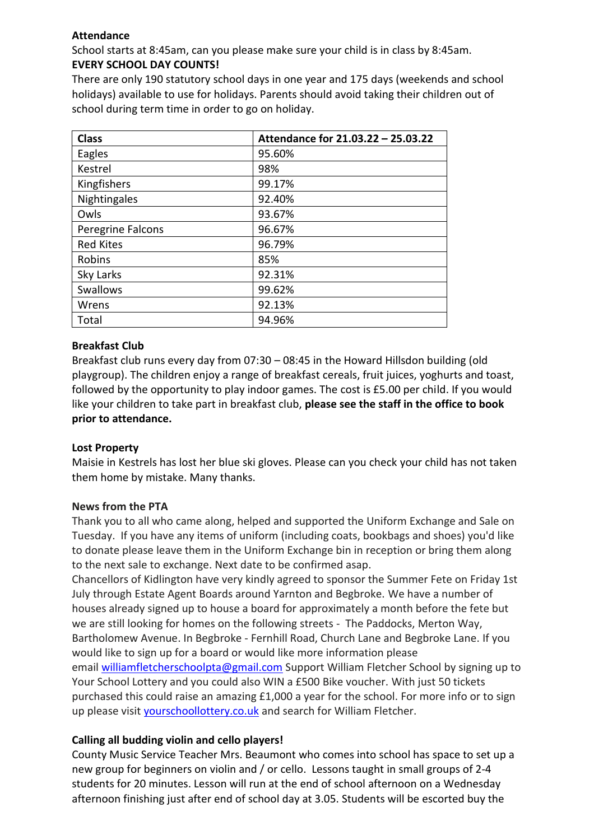## **Attendance**

School starts at 8:45am, can you please make sure your child is in class by 8:45am. **EVERY SCHOOL DAY COUNTS!**

There are only 190 statutory school days in one year and 175 days (weekends and school holidays) available to use for holidays. Parents should avoid taking their children out of school during term time in order to go on holiday.

| <b>Class</b>      | Attendance for 21.03.22 - 25.03.22 |
|-------------------|------------------------------------|
| Eagles            | 95.60%                             |
| Kestrel           | 98%                                |
| Kingfishers       | 99.17%                             |
| Nightingales      | 92.40%                             |
| Owls              | 93.67%                             |
| Peregrine Falcons | 96.67%                             |
| <b>Red Kites</b>  | 96.79%                             |
| Robins            | 85%                                |
| Sky Larks         | 92.31%                             |
| Swallows          | 99.62%                             |
| Wrens             | 92.13%                             |
| Total             | 94.96%                             |

## **Breakfast Club**

Breakfast club runs every day from 07:30 – 08:45 in the Howard Hillsdon building (old playgroup). The children enjoy a range of breakfast cereals, fruit juices, yoghurts and toast, followed by the opportunity to play indoor games. The cost is £5.00 per child. If you would like your children to take part in breakfast club, **please see the staff in the office to book prior to attendance.**

### **Lost Property**

Maisie in Kestrels has lost her blue ski gloves. Please can you check your child has not taken them home by mistake. Many thanks.

## **News from the PTA**

Thank you to all who came along, helped and supported the Uniform Exchange and Sale on Tuesday. If you have any items of uniform (including coats, bookbags and shoes) you'd like to donate please leave them in the Uniform Exchange bin in reception or bring them along to the next sale to exchange. Next date to be confirmed asap.

Chancellors of Kidlington have very kindly agreed to sponsor the Summer Fete on Friday 1st July through Estate Agent Boards around Yarnton and Begbroke. We have a number of houses already signed up to house a board for approximately a month before the fete but we are still looking for homes on the following streets - The Paddocks, Merton Way, Bartholomew Avenue. In Begbroke - Fernhill Road, Church Lane and Begbroke Lane. If you would like to sign up for a board or would like more information please email [williamfletcherschoolpta@gmail.com](mailto:williamfletcherschoolpta@gmail.com) Support William Fletcher School by signing up to Your School Lottery and you could also WIN a £500 Bike voucher. With just 50 tickets purchased this could raise an amazing £1,000 a year for the school. For more info or to sign up please visit [yourschoollottery.co.uk](http://yourschoollottery.co.uk/) and search for William Fletcher.

## **Calling all budding violin and cello players!**

County Music Service Teacher Mrs. Beaumont who comes into school has space to set up a new group for beginners on violin and / or cello. Lessons taught in small groups of 2-4 students for 20 minutes. Lesson will run at the end of school afternoon on a Wednesday afternoon finishing just after end of school day at 3.05. Students will be escorted buy the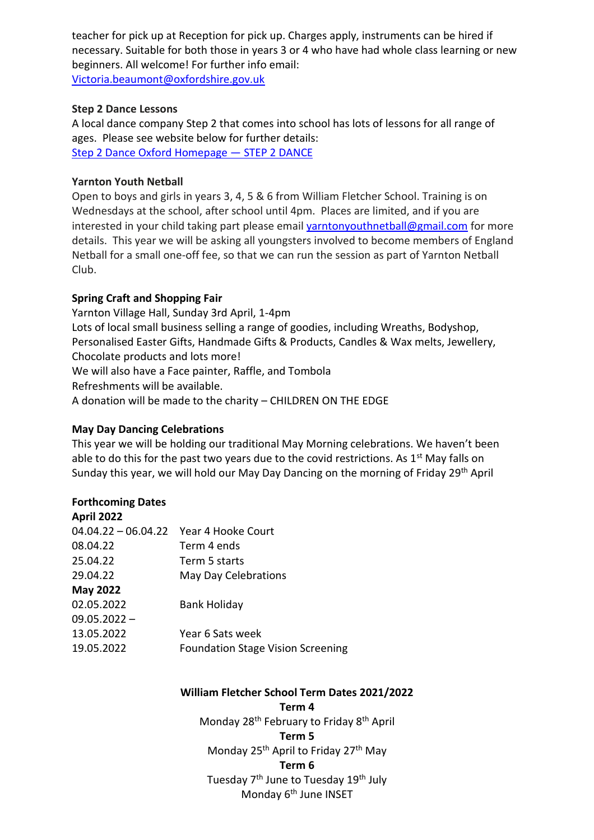teacher for pick up at Reception for pick up. Charges apply, instruments can be hired if necessary. Suitable for both those in years 3 or 4 who have had whole class learning or new beginners. All welcome! For further info email: [Victoria.beaumont@oxfordshire.gov.uk](mailto:Victoria.beaumont@oxfordshire.gov.uk)

### **Step 2 Dance Lessons**

A local dance company Step 2 that comes into school has lots of lessons for all range of ages. Please see website below for further details: [Step 2 Dance Oxford Homepage](https://www.step2dance.co.uk/home) — STEP 2 DANCE

### **Yarnton Youth Netball**

Open to boys and girls in years 3, 4, 5 & 6 from William Fletcher School. Training is on Wednesdays at the school, after school until 4pm. Places are limited, and if you are interested in your child taking part please email [yarntonyouthnetball@gmail.com](mailto:yarntonyouthnetball@gmail.com) for more details. This year we will be asking all youngsters involved to become members of England Netball for a small one-off fee, so that we can run the session as part of Yarnton Netball Club.

### **Spring Craft and Shopping Fair**

Yarnton Village Hall, Sunday 3rd April, 1-4pm Lots of local small business selling a range of goodies, including Wreaths, Bodyshop, Personalised Easter Gifts, Handmade Gifts & Products, Candles & Wax melts, Jewellery, Chocolate products and lots more! We will also have a Face painter, Raffle, and Tombola Refreshments will be available. A donation will be made to the charity – CHILDREN ON THE EDGE

#### **May Day Dancing Celebrations**

This year we will be holding our traditional May Morning celebrations. We haven't been able to do this for the past two years due to the covid restrictions. As  $1<sup>st</sup>$  May falls on Sunday this year, we will hold our May Day Dancing on the morning of Friday 29th April

#### **Forthcoming Dates April 2022**

| APTII ZUZZ                             |                                          |
|----------------------------------------|------------------------------------------|
| 04.04.22 - 06.04.22 Year 4 Hooke Court |                                          |
| 08.04.22                               | Term 4 ends                              |
| 25.04.22                               | Term 5 starts                            |
| 29.04.22                               | May Day Celebrations                     |
| <b>May 2022</b>                        |                                          |
| 02.05.2022                             | <b>Bank Holiday</b>                      |
| $09.05.2022 -$                         |                                          |
| 13.05.2022                             | Year 6 Sats week                         |
| 19.05.2022                             | <b>Foundation Stage Vision Screening</b> |
|                                        |                                          |

# **William Fletcher School Term Dates 2021/2022**

**Term 4** Monday 28<sup>th</sup> February to Friday 8<sup>th</sup> April **Term 5** Monday 25<sup>th</sup> April to Friday 27<sup>th</sup> May **Term 6** Tuesday 7<sup>th</sup> June to Tuesday 19<sup>th</sup> July Monday 6<sup>th</sup> June INSET